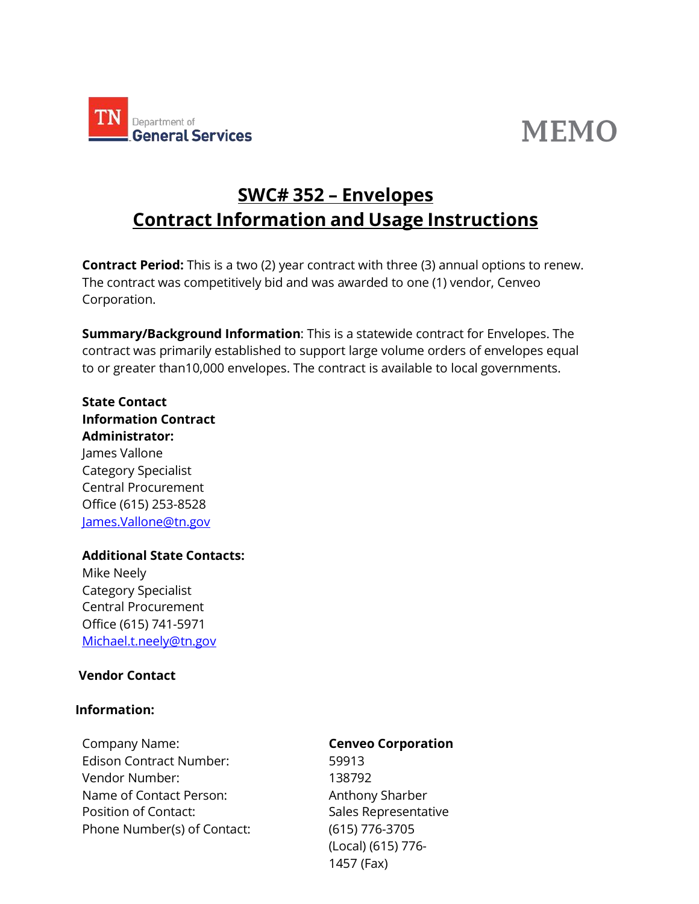

# **MEMO**

# **SWC# 352 – Envelopes Contract Information and Usage Instructions**

**Contract Period:** This is a two (2) year contract with three (3) annual options to renew. The contract was competitively bid and was awarded to one (1) vendor, Cenveo Corporation.

**Summary/Background Information**: This is a statewide contract for Envelopes. The contract was primarily established to support large volume orders of envelopes equal to or greater than10,000 envelopes. The contract is available to local governments.

# **State Contact Information Contract Administrator:**

James Vallone Category Specialist Central Procurement Office (615) 253-8528 [James.Vallone@tn.gov](mailto:James.Vallone@tn.gov)

#### **Additional State Contacts:**

Mike Neely Category Specialist Central Procurement Office (615) 741-5971 [Michael.t.neely@tn.gov](mailto:Michael.t.neely@tn.gov)

#### **Vendor Contact**

#### **Information:**

Company Name: **Cenveo Corporation** Edison Contract Number: 59913 Vendor Number: 138792 Name of Contact Person: Anthony Sharber Position of Contact: Sales Representative Phone Number(s) of Contact: (615) 776-3705

(Local) (615) 776- 1457 (Fax)